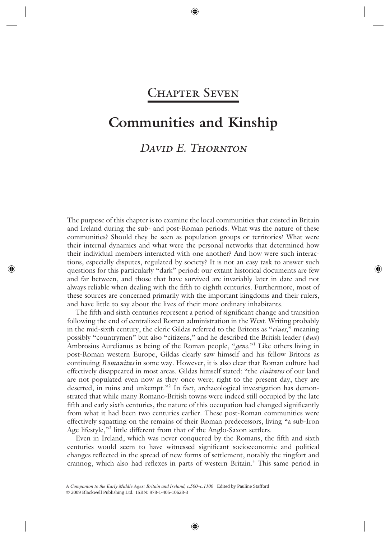# CHAPTER SEVEN

# **Communities and Kinship**

## DAVID E. THORNTON

The purpose of this chapter is to examine the local communities that existed in Britain and Ireland during the sub- and post-Roman periods. What was the nature of these communities? Should they be seen as population groups or territories? What were their internal dynamics and what were the personal networks that determined how their individual members interacted with one another? And how were such interactions, especially disputes, regulated by society? It is not an easy task to answer such questions for this particularly "dark" period: our extant historical documents are few and far between, and those that have survived are invariably later in date and not always reliable when dealing with the fifth to eighth centuries. Furthermore, most of these sources are concerned primarily with the important kingdoms and their rulers, and have little to say about the lives of their more ordinary inhabitants.

The fifth and sixth centuries represent a period of significant change and transition following the end of centralized Roman administration in the West. Writing probably in the mid-sixth century, the cleric Gildas referred to the Britons as "*ciues*," meaning possibly "countrymen" but also "citizens," and he described the British leader (*dux*) Ambrosius Aurelianus as being of the Roman people, "*gens*."1 Like others living in post-Roman western Europe, Gildas clearly saw himself and his fellow Britons as continuing *Romanitas* in some way. However, it is also clear that Roman culture had effectively disappeared in most areas. Gildas himself stated: "the *ciuitates* of our land are not populated even now as they once were; right to the present day, they are deserted, in ruins and unkempt."<sup>2</sup> In fact, archaeological investigation has demonstrated that while many Romano-British towns were indeed still occupied by the late fifth and early sixth centuries, the nature of this occupation had changed significantly from what it had been two centuries earlier. These post-Roman communities were effectively squatting on the remains of their Roman predecessors, living "a sub-Iron Age lifestyle,"<sup>3</sup> little different from that of the Anglo-Saxon settlers.

Even in Ireland, which was never conquered by the Romans, the fifth and sixth centuries would seem to have witnessed significant socioeconomic and political changes reflected in the spread of new forms of settlement, notably the ringfort and crannog, which also had reflexes in parts of western Britain.<sup>4</sup> This same period in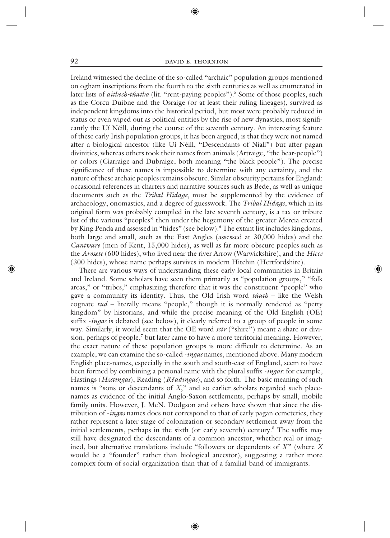Ireland witnessed the decline of the so-called "archaic" population groups mentioned on ogham inscriptions from the fourth to the sixth centuries as well as enumerated in later lists of *aithech-túatha* (lit. "rent-paying peoples").<sup>5</sup> Some of those peoples, such as the Corcu Duibne and the Osraige (or at least their ruling lineages), survived as independent kingdoms into the historical period, but most were probably reduced in status or even wiped out as political entities by the rise of new dynasties, most signifi cantly the Uí Néill, during the course of the seventh century. An interesting feature of these early Irish population groups, it has been argued, is that they were not named after a biological ancestor (like Uí Néill, "Descendants of Niall") but after pagan divinities, whereas others took their names from animals (Artraige, "the bear-people") or colors (Ciarraige and Dubraige, both meaning "the black people"). The precise significance of these names is impossible to determine with any certainty, and the nature of these archaic peoples remains obscure. Similar obscurity pertains for England: occasional references in charters and narrative sources such as Bede, as well as unique documents such as the *Tribal Hidage*, must be supplemented by the evidence of archaeology, onomastics, and a degree of guesswork. The *Tribal Hidage*, which in its original form was probably compiled in the late seventh century, is a tax or tribute list of the various "peoples" then under the hegemony of the greater Mercia created by King Penda and assessed in "hides" (see below). The extant list includes kingdoms, both large and small, such as the East Angles (assessed at 30,000 hides) and the *Cantware* (men of Kent, 15,000 hides), as well as far more obscure peoples such as the *Arosæte* (600 hides), who lived near the river Arrow (Warwickshire), and the *Hicce* (300 hides), whose name perhaps survives in modern Hitchin (Hertfordshire).

There are various ways of understanding these early local communities in Britain and Ireland. Some scholars have seen them primarily as "population groups," "folk areas," or "tribes," emphasizing therefore that it was the constituent "people" who gave a community its identity. Thus, the Old Irish word *túath* – like the Welsh cognate *tud* – literally means "people," though it is normally rendered as "petty kingdom" by historians, and while the precise meaning of the Old English (OE) suffix *-ingas* is debated (see below), it clearly referred to a group of people in some way. Similarly, it would seem that the OE word *scir* ("shire") meant a share or division, perhaps of people,<sup>7</sup> but later came to have a more territorial meaning. However, the exact nature of these population groups is more difficult to determine. As an example, we can examine the so-called -*ingas* names, mentioned above. Many modern English place-names, especially in the south and south-east of England, seem to have been formed by combining a personal name with the plural suffix *-ingas*: for example, Hastings (*Hastingas*), Reading (*Rēadingas*), and so forth. The basic meaning of such names is "sons or descendants of *X*," and so earlier scholars regarded such placenames as evidence of the initial Anglo-Saxon settlements, perhaps by small, mobile family units. However, J. McN. Dodgson and others have shown that since the distribution of -*ingas* names does not correspond to that of early pagan cemeteries, they rather represent a later stage of colonization or secondary settlement away from the initial settlements, perhaps in the sixth (or early seventh) century.<sup>8</sup> The suffix may still have designated the descendants of a common ancestor, whether real or imagined, but alternative translations include "followers or dependents of *X* " (where *X* would be a "founder" rather than biological ancestor), suggesting a rather more complex form of social organization than that of a familial band of immigrants.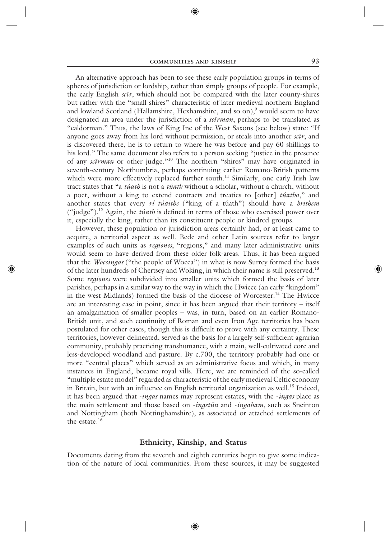An alternative approach has been to see these early population groups in terms of spheres of jurisdiction or lordship, rather than simply groups of people. For example, the early English  $s\bar{s}r$ , which should not be compared with the later county-shires but rather with the "small shires" characteristic of later medieval northern England and lowland Scotland (Hallamshire, Hexhamshire, and so on),<sup>9</sup> would seem to have designated an area under the jurisdiction of a *scirman*, perhaps to be translated as "ealdorman." Thus, the laws of King Ine of the West Saxons (see below) state: "If anyone goes away from his lord without permission, or steals into another  $s\bar{c}r$ , and is discovered there, he is to return to where he was before and pay 60 shillings to his lord." The same document also refers to a person seeking "justice in the presence of any *scirman* or other judge."<sup>10</sup> The northern "shires" may have originated in seventh-century Northumbria, perhaps continuing earlier Romano-British patterns which were more effectively replaced further south.<sup>11</sup> Similarly, one early Irish law tract states that "a *túath* is not a *túath* without a scholar, without a church, without a poet, without a king to extend contracts and treaties to [other] *túatha*," and another states that every *rí túaithe* ("king of a túath") should have a *brithem* ("judge").<sup>12</sup> Again, the *túath* is defined in terms of those who exercised power over it, especially the king, rather than its constituent people or kindred groups.

However, these population or jurisdiction areas certainly had, or at least came to acquire, a territorial aspect as well. Bede and other Latin sources refer to larger examples of such units as *regiones*, "regions," and many later administrative units would seem to have derived from these older folk-areas. Thus, it has been argued that the *Woccingas* ("the people of Wocca") in what is now Surrey formed the basis of the later hundreds of Chertsey and Woking, in which their name is still preserved.<sup>13</sup> Some *regiones* were subdivided into smaller units which formed the basis of later parishes, perhaps in a similar way to the way in which the Hwicce (an early "kingdom" in the west Midlands) formed the basis of the diocese of Worcester.<sup>14</sup> The Hwicce are an interesting case in point, since it has been argued that their territory – itself an amalgamation of smaller peoples – was, in turn, based on an earlier Romano-British unit, and such continuity of Roman and even Iron Age territories has been postulated for other cases, though this is difficult to prove with any certainty. These territories, however delineated, served as the basis for a largely self-sufficient agrarian community, probably practicing transhumance, with a main, well-cultivated core and less-developed woodland and pasture. By c.700, the territory probably had one or more "central places" which served as an administrative focus and which, in many instances in England, became royal vills. Here, we are reminded of the so-called "multiple estate model" regarded as characteristic of the early medieval Celtic economy in Britain, but with an influence on English territorial organization as well.<sup>15</sup> Indeed, it has been argued that -*ingas* names may represent estates, with the -*ingas* place as the main settlement and those based on *-ingetun* and *-ingaham*, such as Sneinton and Nottingham (both Nottinghamshire), as associated or attached settlements of the estate.16

#### **Ethnicity, Kinship, and Status**

Documents dating from the seventh and eighth centuries begin to give some indication of the nature of local communities. From these sources, it may be suggested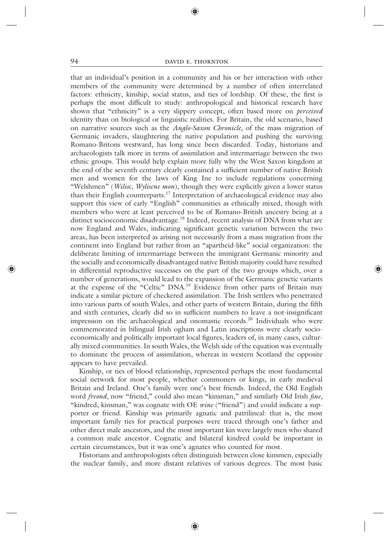that an individual's position in a community and his or her interaction with other members of the community were determined by a number of often interrelated factors: ethnicity, kinship, social status, and ties of lordship. Of these, the first is perhaps the most difficult to study: anthropological and historical research have shown that "ethnicity" is a very slippery concept, often based more on *perceived* identity than on biological or linguistic realities. For Britain, the old scenario, based on narrative sources such as the *Anglo-Saxon Chronicle*, of the mass migration of Germanic invaders, slaughtering the native population and pushing the surviving Romano-Britons westward, has long since been discarded. Today, historians and archaeologists talk more in terms of assimilation and intermarriage between the two ethnic groups. This would help explain more fully why the West Saxon kingdom at the end of the seventh century clearly contained a sufficient number of native British men and women for the laws of King Ine to include regulations concerning "Welshmen" (*Wilisc*, *Wyliscne mon*), though they were explicitly given a lower status than their English counterparts.17 Interpretation of archaeological evidence may also support this view of early "English" communities as ethnically mixed, though with members who were at least perceived to be of Romano-British ancestry being at a distinct socioeconomic disadvantage.<sup>18</sup> Indeed, recent analysis of DNA from what are now England and Wales, indicating significant genetic variation between the two areas, has been interpreted as arising not necessarily from a mass migration from the continent into England but rather from an "apartheid-like" social organization: the deliberate limiting of intermarriage between the immigrant Germanic minority and the socially and economically disadvantaged native British majority could have resulted in differential reproductive successes on the part of the two groups which, over a number of generations, would lead to the expansion of the Germanic genetic variants at the expense of the "Celtic" DNA.19 Evidence from other parts of Britain may indicate a similar picture of checkered assimilation. The Irish settlers who penetrated into various parts of south Wales, and other parts of western Britain, during the fifth and sixth centuries, clearly did so in sufficient numbers to leave a not-insignificant impression on the archaeological and onomastic records.<sup>20</sup> Individuals who were commemorated in bilingual Irish ogham and Latin inscriptions were clearly socioeconomically and politically important local figures, leaders of, in many cases, culturally mixed communities. In south Wales, the Welsh side of the equation was eventually to dominate the process of assimilation, whereas in western Scotland the opposite appears to have prevailed.

Kinship, or ties of blood relationship, represented perhaps the most fundamental social network for most people, whether commoners or kings, in early medieval Britain and Ireland. One's family were one's best friends. Indeed, the Old English word *freond*, now "friend," could also mean "kinsman," and similarly Old Irish *fine*, "kindred, kinsman," was cognate with OE *wine* ("friend") and could indicate a supporter or friend. Kinship was primarily agnatic and patrilineal: that is, the most important family ties for practical purposes were traced through one's father and other direct male ancestors, and the most important kin were largely men who shared a common male ancestor. Cognatic and bilateral kindred could be important in certain circumstances, but it was one's agnates who counted for most.

Historians and anthropologists often distinguish between close kinsmen, especially the nuclear family, and more distant relatives of various degrees. The most basic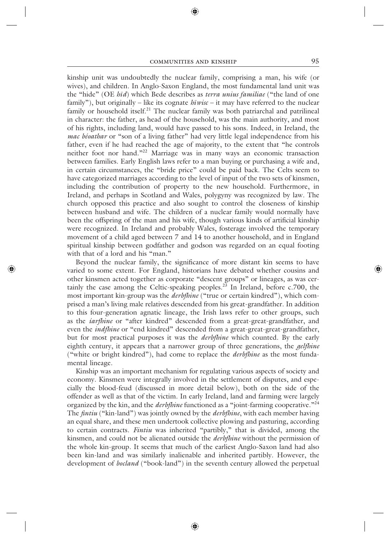kinship unit was undoubtedly the nuclear family, comprising a man, his wife (or wives), and children. In Anglo-Saxon England, the most fundamental land unit was the "hide" (OE *hı¯d*) which Bede describes as *terra unius familiae* ("the land of one family"), but originally – like its cognate  $h\bar{w}$ *isc* – it may have referred to the nuclear family or household itself.<sup>21</sup> The nuclear family was both patriarchal and patrilineal in character: the father, as head of the household, was the main authority, and most of his rights, including land, would have passed to his sons. Indeed, in Ireland, the *mac béoathar* or "son of a living father" had very little legal independence from his father, even if he had reached the age of majority, to the extent that "he controls neither foot nor hand."22 Marriage was in many ways an economic transaction between families. Early English laws refer to a man buying or purchasing a wife and, in certain circumstances, the "bride price" could be paid back. The Celts seem to have categorized marriages according to the level of input of the two sets of kinsmen, including the contribution of property to the new household. Furthermore, in Ireland, and perhaps in Scotland and Wales, polygyny was recognized by law. The church opposed this practice and also sought to control the closeness of kinship between husband and wife. The children of a nuclear family would normally have been the offspring of the man and his wife, though various kinds of artificial kinship were recognized. In Ireland and probably Wales, fosterage involved the temporary movement of a child aged between 7 and 14 to another household, and in England spiritual kinship between godfather and godson was regarded on an equal footing with that of a lord and his "man."

Beyond the nuclear family, the significance of more distant kin seems to have varied to some extent. For England, historians have debated whether cousins and other kinsmen acted together as corporate "descent groups" or lineages, as was certainly the case among the Celtic-speaking peoples.<sup>23</sup> In Ireland, before c.700, the most important kin-group was the *derbfhine* ("true or certain kindred"), which comprised a man's living male relatives descended from his great-grandfather. In addition to this four-generation agnatic lineage, the Irish laws refer to other groups, such as the *íarfhine* or "after kindred" descended from a great-great-grandfather, and even the *indfhine* or "end kindred" descended from a great-great-great-grandfather, but for most practical purposes it was the *derbfhine* which counted. By the early eighth century, it appears that a narrower group of three generations, the *gelfhine* ("white or bright kindred"), had come to replace the *derbfhine* as the most fundamental lineage.

Kinship was an important mechanism for regulating various aspects of society and economy. Kinsmen were integrally involved in the settlement of disputes, and especially the blood-feud (discussed in more detail below), both on the side of the offender as well as that of the victim. In early Ireland, land and farming were largely organized by the kin, and the *derbfhine* functioned as a "joint-farming cooperative."24 The *fintiu* ("kin-land") was jointly owned by the *derbfhine*, with each member having an equal share, and these men undertook collective plowing and pasturing, according to certain contracts. *Fintiu* was inherited "partibly," that is divided, among the kinsmen, and could not be alienated outside the *derbfhine* without the permission of the whole kin-group. It seems that much of the earliest Anglo-Saxon land had also been kin-land and was similarly inalienable and inherited partibly. However, the development of *bocland* ("book-land") in the seventh century allowed the perpetual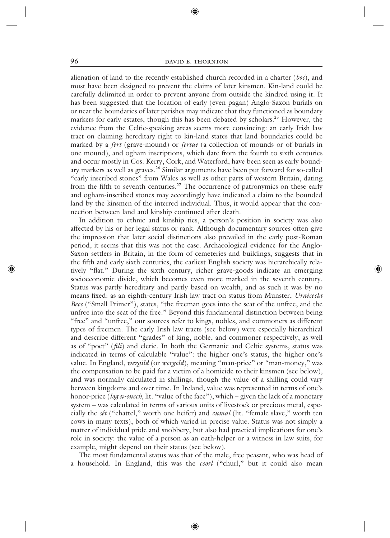alienation of land to the recently established church recorded in a charter (*boc*), and must have been designed to prevent the claims of later kinsmen. Kin-land could be carefully delimited in order to prevent anyone from outside the kindred using it. It has been suggested that the location of early (even pagan) Anglo-Saxon burials on or near the boundaries of later parishes may indicate that they functioned as boundary markers for early estates, though this has been debated by scholars.25 However, the evidence from the Celtic-speaking areas seems more convincing: an early Irish law tract on claiming hereditary right to kin-land states that land boundaries could be marked by a *fert* (grave-mound) or *fertae* (a collection of mounds or of burials in one mound), and ogham inscriptions, which date from the fourth to sixth centuries and occur mostly in Cos. Kerry, Cork, and Waterford, have been seen as early boundary markers as well as graves.<sup>26</sup> Similar arguments have been put forward for so-called "early inscribed stones" from Wales as well as other parts of western Britain, dating from the fifth to seventh centuries.<sup>27</sup> The occurrence of patronymics on these early and ogham-inscribed stones may accordingly have indicated a claim to the bounded land by the kinsmen of the interred individual. Thus, it would appear that the connection between land and kinship continued after death.

In addition to ethnic and kinship ties, a person's position in society was also affected by his or her legal status or rank. Although documentary sources often give the impression that later social distinctions also prevailed in the early post-Roman period, it seems that this was not the case. Archaeological evidence for the Anglo-Saxon settlers in Britain, in the form of cemeteries and buildings, suggests that in the fifth and early sixth centuries, the earliest English society was hierarchically relatively "flat." During the sixth century, richer grave-goods indicate an emerging socioeconomic divide, which becomes even more marked in the seventh century. Status was partly hereditary and partly based on wealth, and as such it was by no means fixed: as an eighth-century Irish law tract on status from Munster, *Uraicecht Becc* ("Small Primer"), states, "the freeman goes into the seat of the unfree, and the unfree into the seat of the free." Beyond this fundamental distinction between being "free" and "unfree," our sources refer to kings, nobles, and commoners as different types of freemen. The early Irish law tracts (see below) were especially hierarchical and describe different "grades" of king, noble, and commoner respectively, as well as of "poet" (*fili*) and cleric. In both the Germanic and Celtic systems, status was indicated in terms of calculable "value": the higher one's status, the higher one's value. In England, *wergild* (or *wergeld*), meaning "man-price" or "man-money," was the compensation to be paid for a victim of a homicide to their kinsmen (see below), and was normally calculated in shillings, though the value of a shilling could vary between kingdoms and over time. In Ireland, value was represented in terms of one's honor-price (*log n-enech*, lit. "value of the face"), which – given the lack of a monetary system – was calculated in terms of various units of livestock or precious metal, especially the *sét* ("chattel," worth one heifer) and *cumal* (lit. "female slave," worth ten cows in many texts), both of which varied in precise value. Status was not simply a matter of individual pride and snobbery, but also had practical implications for one's role in society: the value of a person as an oath-helper or a witness in law suits, for example, might depend on their status (see below).

The most fundamental status was that of the male, free peasant, who was head of a household. In England, this was the *ceorl* ("churl," but it could also mean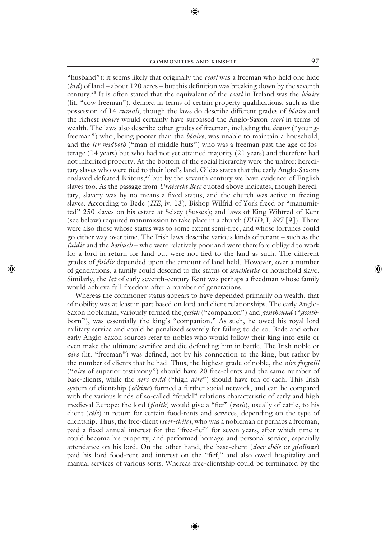"husband"): it seems likely that originally the *ceorl* was a freeman who held one hide  $(h\bar{u}d)$  of land – about 120 acres – but this definition was breaking down by the seventh century.28 It is often stated that the equivalent of the *ceorl* in Ireland was the *bóaire* (lit. "cow-freeman"), defined in terms of certain property qualifications, such as the possession of 14 *cumals*, though the laws do describe different grades of *bóaire* and the richest *bóaire* would certainly have surpassed the Anglo-Saxon *ceorl* in terms of wealth. The laws also describe other grades of freeman, including the *ócaire* ("youngfreeman") who, being poorer than the *bóaire*, was unable to maintain a household, and the *fer midboth* ("man of middle huts") who was a freeman past the age of fosterage (14 years) but who had not yet attained majority (21 years) and therefore had not inherited property. At the bottom of the social hierarchy were the unfree: hereditary slaves who were tied to their lord's land. Gildas states that the early Anglo-Saxons enslaved defeated Britons,<sup>29</sup> but by the seventh century we have evidence of English slaves too. As the passage from *Uraicecht Becc* quoted above indicates, though hereditary, slavery was by no means a fixed status, and the church was active in freeing slaves. According to Bede (*HE*, iv. 13), Bishop Wilfrid of York freed or "manumitted" 250 slaves on his estate at Selsey (Sussex); and laws of King Wihtred of Kent (see below) required manumission to take place in a church (*EHD*, I, 397 [9]). There were also those whose status was to some extent semi-free, and whose fortunes could go either way over time. The Irish laws describe various kinds of tenant – such as the *fuidir* and the *bothach* – who were relatively poor and were therefore obliged to work for a lord in return for land but were not tied to the land as such. The different grades of *fuidir* depended upon the amount of land held. However, over a number of generations, a family could descend to the status of *senchléithe* or household slave. Similarly, the *læt* of early seventh-century Kent was perhaps a freedman whose family would achieve full freedom after a number of generations.

Whereas the commoner status appears to have depended primarily on wealth, that of nobility was at least in part based on lord and client relationships. The early Anglo-Saxon nobleman, variously termed the *gesith* ("companion") and *gesithcund* ("*gesith*born"), was essentially the king's "companion." As such, he owed his royal lord military service and could be penalized severely for failing to do so. Bede and other early Anglo-Saxon sources refer to nobles who would follow their king into exile or even make the ultimate sacrifice and die defending him in battle. The Irish noble or *aire* (lit. "freeman") was defined, not by his connection to the king, but rather by the number of clients that he had. Thus, the highest grade of noble, the *aire forgaill* ("*aire* of superior testimony") should have 20 free-clients and the same number of base-clients, while the *aire ardd* ("high *aire*") should have ten of each. This Irish system of clientship (*célsine*) formed a further social network, and can be compared with the various kinds of so-called "feudal" relations characteristic of early and high medieval Europe: the lord (*flaith*) would give a "fief" (*rath*), usually of cattle, to his client (*céle*) in return for certain food-rents and services, depending on the type of clientship. Thus, the free-client (*soer-chéle*), who was a nobleman or perhaps a freeman, paid a fixed annual interest for the "free-fief" for seven years, after which time it could become his property, and performed homage and personal service, especially attendance on his lord. On the other hand, the base-client (*doer-chéle* or *gíallnae*) paid his lord food-rent and interest on the "fief," and also owed hospitality and manual services of various sorts. Whereas free-clientship could be terminated by the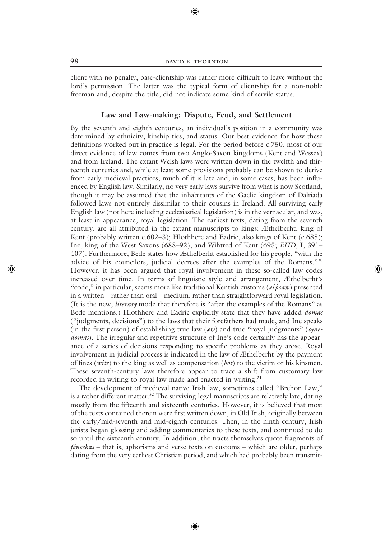client with no penalty, base-clientship was rather more difficult to leave without the lord's permission. The latter was the typical form of clientship for a non-noble freeman and, despite the title, did not indicate some kind of servile status.

### **Law and Law-making: Dispute, Feud, and Settlement**

By the seventh and eighth centuries, an individual's position in a community was determined by ethnicity, kinship ties, and status. Our best evidence for how these definitions worked out in practice is legal. For the period before c.750, most of our direct evidence of law comes from two Anglo-Saxon kingdoms (Kent and Wessex) and from Ireland. The extant Welsh laws were written down in the twelfth and thirteenth centuries and, while at least some provisions probably can be shown to derive from early medieval practices, much of it is late and, in some cases, has been influenced by English law. Similarly, no very early laws survive from what is now Scotland, though it may be assumed that the inhabitants of the Gaelic kingdom of Dalriada followed laws not entirely dissimilar to their cousins in Ireland. All surviving early English law (not here including ecclesiastical legislation) is in the vernacular, and was, at least in appearance, royal legislation. The earliest texts, dating from the seventh century, are all attributed in the extant manuscripts to kings: Æthelberht, king of Kent (probably written  $c.602-3$ ); Hlothhere and Eadric, also kings of Kent ( $c.685$ ); Ine, king of the West Saxons (688–92); and Wihtred of Kent (695; *EHD*, I, 391– 407). Furthermore, Bede states how Æthelberht established for his people, "with the advice of his councilors, judicial decrees after the examples of the Romans."30 However, it has been argued that royal involvement in these so-called law codes increased over time. In terms of linguistic style and arrangement, Æthelberht's "code," in particular, seems more like traditional Kentish customs (*ælþeaw*) presented in a written – rather than oral – medium, rather than straightforward royal legislation. (It is the new, *literary* mode that therefore is "after the examples of the Romans" as Bede mentions.) Hlothhere and Eadric explicitly state that they have added *domas* ("judgments, decisions") to the laws that their forefathers had made, and Ine speaks (in the first person) of establishing true law (*ew*) and true "royal judgments" (*cynedomas*). The irregular and repetitive structure of Ine's code certainly has the appearance of a series of decisions responding to specific problems as they arose. Royal involvement in judicial process is indicated in the law of Æthelberht by the payment of fi nes (*wite*) to the king as well as compensation (*bot*) to the victim or his kinsmen. These seventh-century laws therefore appear to trace a shift from customary law recorded in writing to royal law made and enacted in writing.<sup>31</sup>

The development of medieval native Irish law, sometimes called "Brehon Law," is a rather different matter.<sup>32</sup> The surviving legal manuscripts are relatively late, dating mostly from the fifteenth and sixteenth centuries. However, it is believed that most of the texts contained therein were first written down, in Old Irish, originally between the early/mid-seventh and mid-eighth centuries. Then, in the ninth century, Irish jurists began glossing and adding commentaries to these texts, and continued to do so until the sixteenth century. In addition, the tracts themselves quote fragments of *fénechas* – that is, aphorisms and verse texts on customs – which are older, perhaps dating from the very earliest Christian period, and which had probably been transmit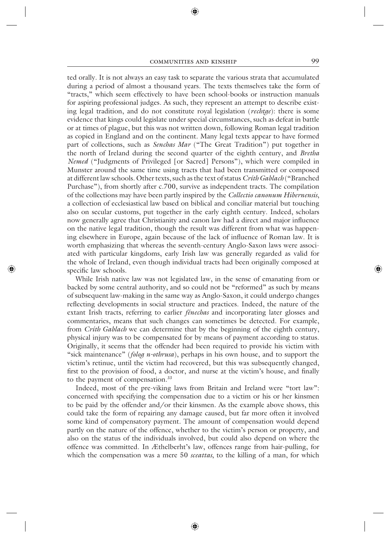ted orally. It is not always an easy task to separate the various strata that accumulated during a period of almost a thousand years. The texts themselves take the form of "tracts," which seem effectively to have been school-books or instruction manuals for aspiring professional judges. As such, they represent an attempt to describe existing legal tradition, and do not constitute royal legislation (*rechtge*): there is some evidence that kings could legislate under special circumstances, such as defeat in battle or at times of plague, but this was not written down, following Roman legal tradition as copied in England and on the continent. Many legal texts appear to have formed part of collections, such as *Senchas Mar* ("The Great Tradition") put together in the north of Ireland during the second quarter of the eighth century, and *Bretha Nemed* ("Judgments of Privileged [or Sacred] Persons"), which were compiled in Munster around the same time using tracts that had been transmitted or composed at different law schools. Other texts, such as the text of status *Críth Gablach* ("Branched Purchase"), from shortly after c.700, survive as independent tracts. The compilation of the collections may have been partly inspired by the *Collectio canonum Hibernensis*, a collection of ecclesiastical law based on biblical and conciliar material but touching also on secular customs, put together in the early eighth century. Indeed, scholars now generally agree that Christianity and canon law had a direct and major influence on the native legal tradition, though the result was different from what was happening elsewhere in Europe, again because of the lack of influence of Roman law. It is worth emphasizing that whereas the seventh-century Anglo-Saxon laws were associated with particular kingdoms, early Irish law was generally regarded as valid for the whole of Ireland, even though individual tracts had been originally composed at specific law schools.

While Irish native law was not legislated law, in the sense of emanating from or backed by some central authority, and so could not be "reformed" as such by means of subsequent law-making in the same way as Anglo-Saxon, it could undergo changes reflecting developments in social structure and practices. Indeed, the nature of the extant Irish tracts, referring to earlier *fénechas* and incorporating later glosses and commentaries, means that such changes can sometimes be detected. For example, from *Críth Gablach* we can determine that by the beginning of the eighth century, physical injury was to be compensated for by means of payment according to status. Originally, it seems that the offender had been required to provide his victim with "sick maintenance" (*folog n-othrusa*), perhaps in his own house, and to support the victim's retinue, until the victim had recovered, but this was subsequently changed, first to the provision of food, a doctor, and nurse at the victim's house, and finally to the payment of compensation.<sup>33</sup>

Indeed, most of the pre-viking laws from Britain and Ireland were "tort law": concerned with specifying the compensation due to a victim or his or her kinsmen to be paid by the offender and/or their kinsmen. As the example above shows, this could take the form of repairing any damage caused, but far more often it involved some kind of compensatory payment. The amount of compensation would depend partly on the nature of the offence, whether to the victim's person or property, and also on the status of the individuals involved, but could also depend on where the offence was committed. In Æthelberht's law, offences range from hair-pulling, for which the compensation was a mere 50 *sceattas*, to the killing of a man, for which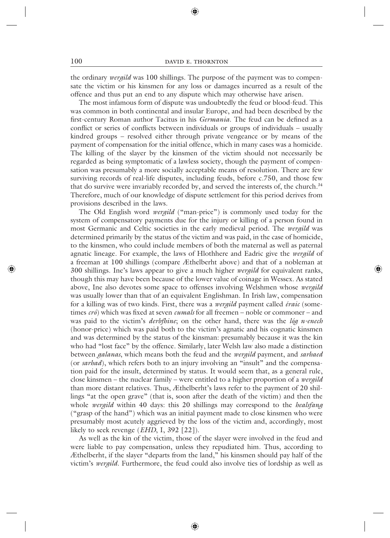the ordinary *wergild* was 100 shillings. The purpose of the payment was to compensate the victim or his kinsmen for any loss or damages incurred as a result of the offence and thus put an end to any dispute which may otherwise have arisen.

The most infamous form of dispute was undoubtedly the feud or blood-feud. This was common in both continental and insular Europe, and had been described by the first-century Roman author Tacitus in his *Germania*. The feud can be defined as a conflict or series of conflicts between individuals or groups of individuals – usually kindred groups – resolved either through private vengeance or by means of the payment of compensation for the initial offence, which in many cases was a homicide. The killing of the slayer by the kinsmen of the victim should not necessarily be regarded as being symptomatic of a lawless society, though the payment of compensation was presumably a more socially acceptable means of resolution. There are few surviving records of real-life disputes, including feuds, before c.750, and those few that do survive were invariably recorded by, and served the interests of, the church.<sup>34</sup> Therefore, much of our knowledge of dispute settlement for this period derives from provisions described in the laws.

The Old English word *wergild* ("man-price") is commonly used today for the system of compensatory payments due for the injury or killing of a person found in most Germanic and Celtic societies in the early medieval period. The *wergild* was determined primarily by the status of the victim and was paid, in the case of homicide, to the kinsmen, who could include members of both the maternal as well as paternal agnatic lineage. For example, the laws of Hlothhere and Eadric give the *wergild* of a freeman at 100 shillings (compare Æthelberht above) and that of a nobleman at 300 shillings. Ine's laws appear to give a much higher *wergild* for equivalent ranks, though this may have been because of the lower value of coinage in Wessex. As stated above, Ine also devotes some space to offenses involving Welshmen whose *wergild* was usually lower than that of an equivalent Englishman. In Irish law, compensation for a killing was of two kinds. First, there was a *wergild* payment called *éraic* (sometimes *cró*) which was fixed at seven *cumals* for all freemen – noble or commoner – and was paid to the victim's *derbfhine*; on the other hand, there was the *lóg n-enech* (honor-price) which was paid both to the victim's agnatic and his cognatic kinsmen and was determined by the status of the kinsman: presumably because it was the kin who had "lost face" by the offence. Similarly, later Welsh law also made a distinction between *galanas*, which means both the feud and the *wergild* payment, and *sarhaed* (or *sarhad*), which refers both to an injury involving an "insult" and the compensation paid for the insult, determined by status. It would seem that, as a general rule, close kinsmen – the nuclear family – were entitled to a higher proportion of a *wergild* than more distant relatives. Thus, Æthelberht's laws refer to the payment of 20 shillings "at the open grave" (that is, soon after the death of the victim) and then the whole *wergild* within 40 days: this 20 shillings may correspond to the *healsfang* ("grasp of the hand") which was an initial payment made to close kinsmen who were presumably most acutely aggrieved by the loss of the victim and, accordingly, most likely to seek revenge (*EHD*, I, 392 [22]).

As well as the kin of the victim, those of the slayer were involved in the feud and were liable to pay compensation, unless they repudiated him. Thus, according to Æthelberht, if the slayer "departs from the land," his kinsmen should pay half of the victim's *wergild*. Furthermore, the feud could also involve ties of lordship as well as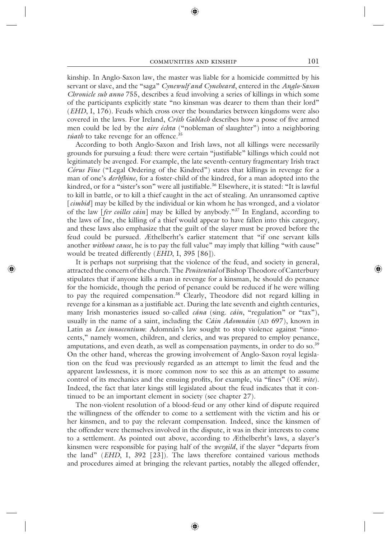kinship. In Anglo-Saxon law, the master was liable for a homicide committed by his servant or slave, and the "saga" *Cynewulf and Cyneheard*, entered in the *Anglo-Saxon Chronicle sub anno* 755, describes a feud involving a series of killings in which some of the participants explicitly state "no kinsman was dearer to them than their lord" (*EHD*, I, 176). Feuds which cross over the boundaries between kingdoms were also covered in the laws. For Ireland, *Crith Gablach* describes how a posse of five armed men could be led by the *aire échta* ("nobleman of slaughter") into a neighboring *túath* to take revenge for an offence.<sup>35</sup>

According to both Anglo-Saxon and Irish laws, not all killings were necessarily grounds for pursuing a feud: there were certain "justifiable" killings which could not legitimately be avenged. For example, the late seventh-century fragmentary Irish tract *Córus Fine* ("Legal Ordering of the Kindred") states that killings in revenge for a man of one's *derbfhine*, for a foster-child of the kindred, for a man adopted into the kindred, or for a "sister's son" were all justifiable.<sup>36</sup> Elsewhere, it is stated: "It is lawful to kill in battle, or to kill a thief caught in the act of stealing. An unransomed captive [*cimbid*] may be killed by the individual or kin whom he has wronged, and a violator of the law [*fer coilles cáin*] may be killed by anybody."37 In England, according to the laws of Ine, the killing of a thief would appear to have fallen into this category, and these laws also emphasize that the guilt of the slayer must be proved before the feud could be pursued. Æthelberht's earlier statement that "if one servant kills another *without cause*, he is to pay the full value" may imply that killing "with cause" would be treated differently (*EHD*, I, 395 [86]).

It is perhaps not surprising that the violence of the feud, and society in general, attracted the concern of the church. The *Penitential* of Bishop Theodore of Canterbury stipulates that if anyone kills a man in revenge for a kinsman, he should do penance for the homicide, though the period of penance could be reduced if he were willing to pay the required compensation.<sup>38</sup> Clearly, Theodore did not regard killing in revenge for a kinsman as a justifiable act. During the late seventh and eighth centuries, many Irish monasteries issued so-called *cána* (sing. *cáin*, "regulation" or "tax"), usually in the name of a saint, including the *Cáin Adomnáin* (AD 697), known in Latin as *Lex innocentium*: Adomnán's law sought to stop violence against "innocents," namely women, children, and clerics, and was prepared to employ penance, amputations, and even death, as well as compensation payments, in order to do so.<sup>39</sup> On the other hand, whereas the growing involvement of Anglo-Saxon royal legislation on the feud was previously regarded as an attempt to limit the feud and the apparent lawlessness, it is more common now to see this as an attempt to assume control of its mechanics and the ensuing profits, for example, via "fines" (OE *wite*). Indeed, the fact that later kings still legislated about the feud indicates that it continued to be an important element in society (see chapter 27).

The non-violent resolution of a blood-feud or any other kind of dispute required the willingness of the offender to come to a settlement with the victim and his or her kinsmen, and to pay the relevant compensation. Indeed, since the kinsmen of the offender were themselves involved in the dispute, it was in their interests to come to a settlement. As pointed out above, according to Æthelberht's laws, a slayer's kinsmen were responsible for paying half of the *wergild*, if the slayer "departs from the land" (*EHD*, I, 392 [23]). The laws therefore contained various methods and procedures aimed at bringing the relevant parties, notably the alleged offender,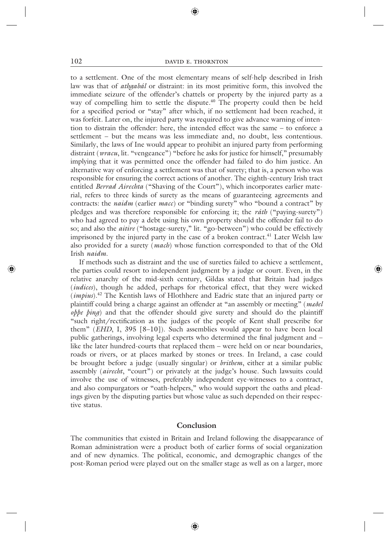to a settlement. One of the most elementary means of self-help described in Irish law was that of *athgabál* or distraint: in its most primitive form, this involved the immediate seizure of the offender's chattels or property by the injured party as a way of compelling him to settle the dispute.<sup>40</sup> The property could then be held for a specified period or "stay" after which, if no settlement had been reached, it was forfeit. Later on, the injured party was required to give advance warning of intention to distrain the offender: here, the intended effect was the same – to enforce a settlement – but the means was less immediate and, no doubt, less contentious. Similarly, the laws of Ine would appear to prohibit an injured party from performing distraint (*wracu*, lit. "vengeance") "before he asks for justice for himself," presumably implying that it was permitted once the offender had failed to do him justice. An alternative way of enforcing a settlement was that of surety; that is, a person who was responsible for ensuring the correct actions of another. The eighth-century Irish tract entitled *Berrad Airechta* ("Shaving of the Court"), which incorporates earlier material, refers to three kinds of surety as the means of guaranteeing agreements and contracts: the *naidm* (earlier *macc*) or "binding surety" who "bound a contract" by pledges and was therefore responsible for enforcing it; the *ráth* ("paying-surety") who had agreed to pay a debt using his own property should the offender fail to do so; and also the *aitire* ("hostage-surety," lit. "go-between") who could be effectively imprisoned by the injured party in the case of a broken contract.<sup>41</sup> Later Welsh law also provided for a surety (*mach*) whose function corresponded to that of the Old Irish *naidm*.

If methods such as distraint and the use of sureties failed to achieve a settlement, the parties could resort to independent judgment by a judge or court. Even, in the relative anarchy of the mid-sixth century, Gildas stated that Britain had judges (*iudices*), though he added, perhaps for rhetorical effect, that they were wicked (*impius*).42 The Kentish laws of Hlothhere and Eadric state that an injured party or plaintiff could bring a charge against an offender at "an assembly or meeting" (*mæðel oþþe þing*) and that the offender should give surety and should do the plaintiff "such right/rectification as the judges of the people of Kent shall prescribe for them" (*EHD*, I, 395 [8–10]). Such assemblies would appear to have been local public gatherings, involving legal experts who determined the final judgment and – like the later hundred-courts that replaced them – were held on or near boundaries, roads or rivers, or at places marked by stones or trees. In Ireland, a case could be brought before a judge (usually singular) or *brithem*, either at a similar public assembly (*airecht*, "court") or privately at the judge's house. Such lawsuits could involve the use of witnesses, preferably independent eye-witnesses to a contract, and also compurgators or "oath-helpers," who would support the oaths and pleadings given by the disputing parties but whose value as such depended on their respective status.

#### **Conclusion**

The communities that existed in Britain and Ireland following the disappearance of Roman administration were a product both of earlier forms of social organization and of new dynamics. The political, economic, and demographic changes of the post-Roman period were played out on the smaller stage as well as on a larger, more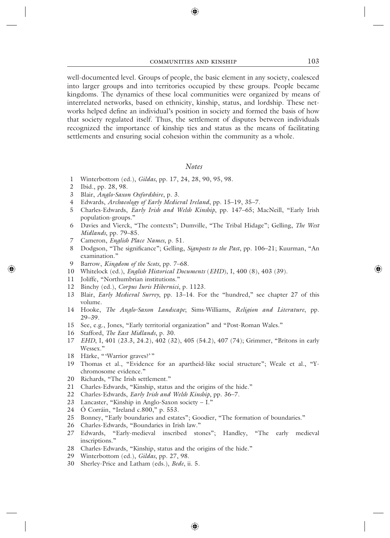well-documented level. Groups of people, the basic element in any society, coalesced into larger groups and into territories occupied by these groups. People became kingdoms. The dynamics of these local communities were organized by means of interrelated networks, based on ethnicity, kinship, status, and lordship. These networks helped define an individual's position in society and formed the basis of how that society regulated itself. Thus, the settlement of disputes between individuals recognized the importance of kinship ties and status as the means of facilitating settlements and ensuring social cohesion within the community as a whole.

#### *Notes*

- 1 Winterbottom (ed.), *Gildas*, pp. 17, 24, 28, 90, 95, 98.
- 2 Ibid., pp. 28, 98.
- 3 Blair, *Anglo-Saxon Oxfordshire*, p. 3.
- 4 Edwards, *Archaeology of Early Medieval Ireland*, pp. 15–19, 35–7.
- 5 Charles-Edwards, *Early Irish and Welsh Kinship*, pp. 147–65; MacNeill, "Early Irish population-groups."
- 6 Davies and Vierck, "The contexts"; Dumville, "The Tribal Hidage"; Gelling, *The West Midlands*, pp. 79–85.
- 7 Cameron, *English Place Names*, p. 51.
- 8 Dodgson, "The significance"; Gelling, *Signposts to the Past*, pp. 106–21; Kuurman, "An examination."
- 9 Barrow, *Kingdom of the Scots*, pp. 7–68.
- 10 Whitelock (ed.), *English Historical Documents* (*EHD*), I, 400 (8), 403 (39).
- 11 Joliffe, "Northumbrian institutions."
- 12 Binchy (ed.), *Corpus Iuris Hibernici*, p. 1123.
- 13 Blair, *Early Medieval Surrey*, pp. 13–14. For the "hundred," see chapter 27 of this volume.
- 14 Hooke, *The Anglo-Saxon Landscape*; Sims-Williams, *Religion and Literature*, pp. 29–39.
- 15 See, e.g., Jones, "Early territorial organization" and "Post-Roman Wales."
- 16 Stafford, *The East Midlands*, p. 30.
- 17 *EHD*, I, 401 (23.3, 24.2), 402 (32), 405 (54.2), 407 (74); Grimmer, "Britons in early Wessex."
- 18 Härke, " 'Warrior graves?'"
- 19 Thomas et al., "Evidence for an apartheid-like social structure"; Weale et al., "Ychromosome evidence."
- 20 Richards, "The Irish settlement."
- 21 Charles-Edwards, "Kinship, status and the origins of the hide."
- 22 Charles-Edwards, *Early Irish and Welsh Kinship*, pp. 36–7.
- 23 Lancaster, "Kinship in Anglo-Saxon society I."
- 24 Ó Corráin, "Ireland c.800," p. 553.
- 25 Bonney, "Early boundaries and estates"; Goodier, "The formation of boundaries."
- 26 Charles-Edwards, "Boundaries in Irish law."
- 27 Edwards, "Early-medieval inscribed stones"; Handley, "The early medieval inscriptions."
- 28 Charles-Edwards, "Kinship, status and the origins of the hide."
- 29 Winterbottom (ed.), *Gildas*, pp. 27, 98.
- 30 Sherley-Price and Latham (eds.), *Bede*, ii. 5.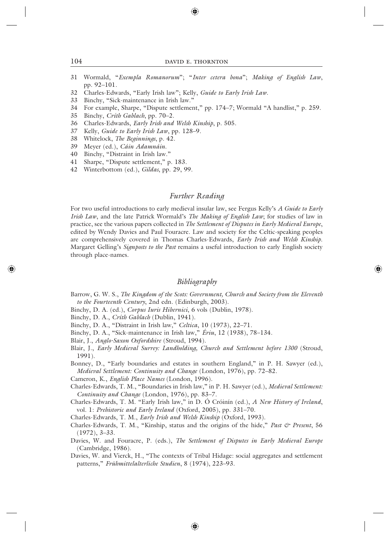- 31 Wormald, "*Exempla Romanorum*"; "*Inter cetera bona*"; *Making of English Law*, pp. 92–101.
- 32 Charles-Edwards, "Early Irish law"; Kelly, *Guide to Early Irish Law*.
- 33 Binchy, "Sick-maintenance in Irish law."
- 34 For example, Sharpe, "Dispute settlement," pp. 174–7; Wormald "A handlist," p. 259.
- 35 Binchy, *Críth Gablach*, pp. 70–2.
- 36 Charles-Edwards, *Early Irish and Welsh Kinship*, p. 505.
- 37 Kelly, *Guide to Early Irish Law*, pp. 128–9.
- 38 Whitelock, *The Beginnings*, p. 42.
- 39 Meyer (ed.), *Cáin Adamnáin*.
- 40 Binchy, "Distraint in Irish law."
- 41 Sharpe, "Dispute settlement," p. 183.
- 42 Winterbottom (ed.), *Gildas*, pp. 29, 99.

#### *Further Reading*

For two useful introductions to early medieval insular law, see Fergus Kelly's *A Guide to Early Irish Law*, and the late Patrick Wormald's *The Making of English Law*; for studies of law in practice, see the various papers collected in *The Settlement of Disputes in Early Medieval Europe*, edited by Wendy Davies and Paul Fouracre. Law and society for the Celtic-speaking peoples are comprehensively covered in Thomas Charles-Edwards, *Early Irish and Welsh Kinship*. Margaret Gelling's *Signposts to the Past* remains a useful introduction to early English society through place-names.

### *Bibliography*

- Barrow, G. W. S., *The Kingdom of the Scots: Government, Church and Society from the Eleventh to the Fourteenth Century*, 2nd edn. (Edinburgh, 2003).
- Binchy, D. A. (ed.), *Corpus Iuris Hibernici*, 6 vols (Dublin, 1978).
- Binchy, D. A., *Críth Gablach* (Dublin, 1941).
- Binchy, D. A., "Distraint in Irish law," *Celtica*, 10 (1973), 22–71.
- Binchy, D. A., "Sick-maintenance in Irish law," *Ériu*, 12 (1938), 78–134.
- Blair, J., *Anglo-Saxon Oxfordshire* (Stroud, 1994).
- Blair, J., *Early Medieval Surrey: Landholding, Church and Settlement before 1300* (Stroud, 1991).
- Bonney, D., "Early boundaries and estates in southern England," in P. H. Sawyer (ed.), *Medieval Settlement: Continuity and Change* (London, 1976), pp. 72–82.
- Cameron, K., *English Place Names* (London, 1996).
- Charles-Edwards, T. M., "Boundaries in Irish law," in P. H. Sawyer (ed.), *Medieval Settlement: Continuity and Change* (London, 1976), pp. 83–7.
- Charles-Edwards, T. M. "Early Irish law," in D. Ó Cróinín (ed.), *A New History of Ireland*, vol. 1: *Prehistoric and Early Ireland* (Oxford, 2005), pp. 331–70.
- Charles-Edwards, T. M., *Early Irish and Welsh Kinship* (Oxford, 1993).
- Charles-Edwards, T. M., "Kinship, status and the origins of the hide," *Past & Present*, 56 (1972), 3–33.
- Davies, W. and Fouracre, P. (eds.), *The Settlement of Disputes in Early Medieval Europe* (Cambridge, 1986).
- Davies, W. and Vierck, H., "The contexts of Tribal Hidage: social aggregates and settlement patterns," *Frühmittelalterliche Studien*, 8 (1974), 223–93.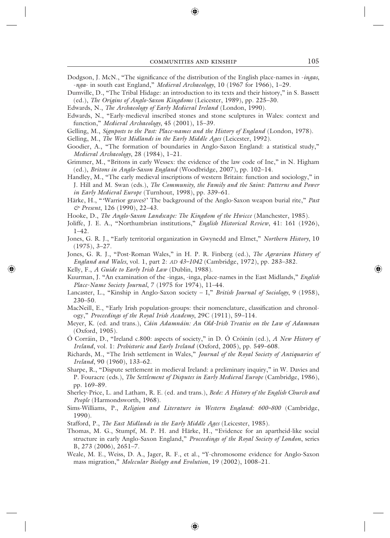- Dodgson, J. McN., "The significance of the distribution of the English place-names in *-ingas*, -*nga*- in south east England," *Medieval Archaeology*, 10 (1967 for 1966), 1–29.
- Dumville, D., "The Tribal Hidage: an introduction to its texts and their history," in S. Bassett (ed.), *The Origins of Anglo-Saxon Kingdoms* (Leicester, 1989), pp. 225–30.
- Edwards, N., *The Archaeology of Early Medieval Ireland* (London, 1990).
- Edwards, N., "Early-medieval inscribed stones and stone sculptures in Wales: context and function," *Medieval Archaeology*, 45 (2001), 15–39.
- Gelling, M., *Signposts to the Past: Place-names and the History of England* (London, 1978).
- Gelling, M., *The West Midlands in the Early Middle Ages* (Leicester, 1992).
- Goodier, A., "The formation of boundaries in Anglo-Saxon England: a statistical study," *Medieval Archaeology*, 28 (1984), 1–21.
- Grimmer, M., "Britons in early Wessex: the evidence of the law code of Ine," in N. Higham (ed.), *Britons in Anglo-Saxon England* (Woodbridge, 2007), pp. 102–14.
- Handley, M., "The early medieval inscriptions of western Britain: function and sociology," in J. Hill and M. Swan (eds.), *The Community, the Family and the Saint: Patterns and Power in Early Medieval Europe* (Turnhout, 1998), pp. 339–61.
- Härke, H., " 'Warrior graves?' The background of the Anglo-Saxon weapon burial rite," *Past & Present*, 126 (1990), 22–43.
- Hooke, D., *The Anglo-Saxon Landscape: The Kingdom of the Hwicce* (Manchester, 1985).
- Joliffe, J. E. A., "Northumbrian institutions," *English Historical Review*, 41: 161 (1926), 1–42.
- Jones, G. R. J., "Early territorial organization in Gwynedd and Elmet," *Northern History*, 10 (1975), 3–27.
- Jones, G. R. J., "Post-Roman Wales," in H. P. R. Finberg (ed.), *The Agrarian History of England and Wales*, vol. 1, part 2: *AD 43–1042* (Cambridge, 1972), pp. 283–382.
- Kelly, F., *A Guide to Early Irish Law* (Dublin, 1988).
- Kuurman, J. "An examination of the -ingas, -inga, place-names in the East Midlands," *English Place-Name Society Journal*, 7 (1975 for 1974), 11–44.
- Lancaster, L., "Kinship in Anglo-Saxon society I," *British Journal of Sociology*, 9 (1958), 230–50.
- MacNeill, E., "Early Irish population-groups: their nomenclature, classification and chronology," *Proceedings of the Royal Irish Academy*, 29C (1911), 59–114.
- Meyer, K. (ed. and trans.), *Cáin Adamnáin: An Old-Irish Treatise on the Law of Adamnan* (Oxford, 1905).
- Ó Corráin, D., "Ireland c.800: aspects of society," in D. Ó Cróinín (ed.), *A New History of Ireland*, vol. 1: *Prehistoric and Early Ireland* (Oxford, 2005), pp. 549–608.
- Richards, M., "The Irish settlement in Wales," *Journal of the Royal Society of Antiquaries of Ireland*, 90 (1960), 133–62.
- Sharpe, R., "Dispute settlement in medieval Ireland: a preliminary inquiry," in W. Davies and P. Fouracre (eds.), *The Settlement of Disputes in Early Medieval Europe* (Cambridge, 1986), pp. 169–89.
- Sherley-Price, L. and Latham, R. E. (ed. and trans.), *Bede: A History of the English Church and People* (Harmondsworth, 1968).
- Sims-Williams, P., *Religion and Literature in Western England: 600–800* (Cambridge, 1990).
- Stafford, P., *The East Midlands in the Early Middle Ages* (Leicester, 1985).
- Thomas, M. G., Stumpf, M. P. H. and Härke, H., "Evidence for an apartheid-like social structure in early Anglo-Saxon England," *Proceedings of the Royal Society of London*, series B, 273 (2006), 2651–7.
- Weale, M. E., Weiss, D. A., Jager, R. F., et al., "Y-chromosome evidence for Anglo-Saxon mass migration," *Molecular Biology and Evolution*, 19 (2002), 1008–21.